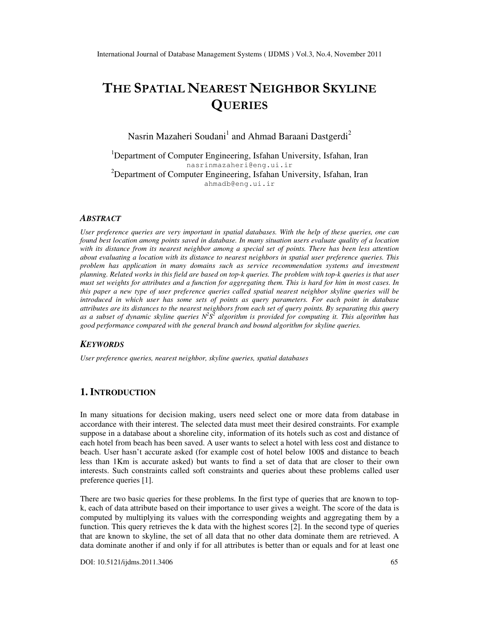# THE SPATIAL NEAREST NEIGHBOR SKYLINE **QUERIES**

Nasrin Mazaheri Soudani<sup>1</sup> and Ahmad Baraani Dastgerdi<sup>2</sup>

<sup>1</sup>Department of Computer Engineering, Isfahan University, Isfahan, Iran nasrinmazaheri@eng.ui.ir <sup>2</sup>Department of Computer Engineering, Isfahan University, Isfahan, Iran ahmadb@eng.ui.ir

#### *ABSTRACT*

*User preference queries are very important in spatial databases. With the help of these queries, one can found best location among points saved in database. In many situation users evaluate quality of a location with its distance from its nearest neighbor among a special set of points. There has been less attention about evaluating a location with its distance to nearest neighbors in spatial user preference queries. This problem has application in many domains such as service recommendation systems and investment planning. Related works in this field are based on top-k queries. The problem with top-k queries is that user must set weights for attributes and a function for aggregating them. This is hard for him in most cases. In this paper a new type of user preference queries called spatial nearest neighbor skyline queries will be introduced in which user has some sets of points as query parameters. For each point in database attributes are its distances to the nearest neighbors from each set of query points. By separating this query*  as a subset of dynamic skyline queries  $N^2S^2$  algorithm is provided for computing it. This algorithm has *good performance compared with the general branch and bound algorithm for skyline queries.* 

#### *KEYWORDS*

*User preference queries, nearest neighbor, skyline queries, spatial databases* 

#### **1. INTRODUCTION**

In many situations for decision making, users need select one or more data from database in accordance with their interest. The selected data must meet their desired constraints. For example suppose in a database about a shoreline city, information of its hotels such as cost and distance of each hotel from beach has been saved. A user wants to select a hotel with less cost and distance to beach. User hasn't accurate asked (for example cost of hotel below 100\$ and distance to beach less than 1Km is accurate asked) but wants to find a set of data that are closer to their own interests. Such constraints called soft constraints and queries about these problems called user preference queries [1].

There are two basic queries for these problems. In the first type of queries that are known to topk, each of data attribute based on their importance to user gives a weight. The score of the data is computed by multiplying its values with the corresponding weights and aggregating them by a function. This query retrieves the k data with the highest scores [2]. In the second type of queries that are known to skyline, the set of all data that no other data dominate them are retrieved. A data dominate another if and only if for all attributes is better than or equals and for at least one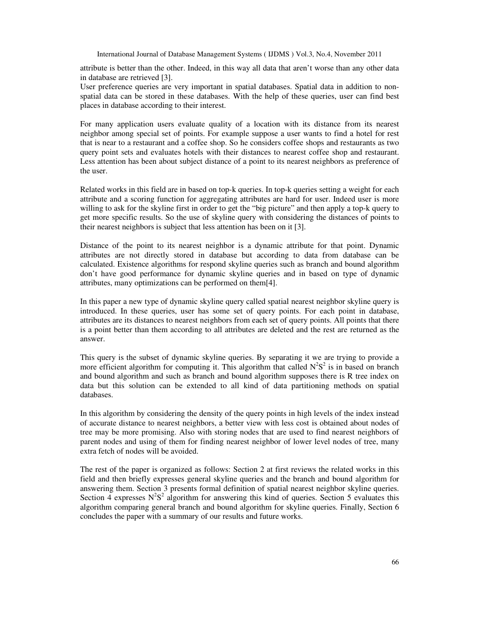attribute is better than the other. Indeed, in this way all data that aren't worse than any other data in database are retrieved [3].

User preference queries are very important in spatial databases. Spatial data in addition to nonspatial data can be stored in these databases. With the help of these queries, user can find best places in database according to their interest.

For many application users evaluate quality of a location with its distance from its nearest neighbor among special set of points. For example suppose a user wants to find a hotel for rest that is near to a restaurant and a coffee shop. So he considers coffee shops and restaurants as two query point sets and evaluates hotels with their distances to nearest coffee shop and restaurant. Less attention has been about subject distance of a point to its nearest neighbors as preference of the user.

Related works in this field are in based on top-k queries. In top-k queries setting a weight for each attribute and a scoring function for aggregating attributes are hard for user. Indeed user is more willing to ask for the skyline first in order to get the "big picture" and then apply a top-k query to get more specific results. So the use of skyline query with considering the distances of points to their nearest neighbors is subject that less attention has been on it [3].

Distance of the point to its nearest neighbor is a dynamic attribute for that point. Dynamic attributes are not directly stored in database but according to data from database can be calculated. Existence algorithms for respond skyline queries such as branch and bound algorithm don't have good performance for dynamic skyline queries and in based on type of dynamic attributes, many optimizations can be performed on them[4].

In this paper a new type of dynamic skyline query called spatial nearest neighbor skyline query is introduced. In these queries, user has some set of query points. For each point in database, attributes are its distances to nearest neighbors from each set of query points. All points that there is a point better than them according to all attributes are deleted and the rest are returned as the answer.

This query is the subset of dynamic skyline queries. By separating it we are trying to provide a more efficient algorithm for computing it. This algorithm that called  $N^2S^2$  is in based on branch and bound algorithm and such as branch and bound algorithm supposes there is R tree index on data but this solution can be extended to all kind of data partitioning methods on spatial databases.

In this algorithm by considering the density of the query points in high levels of the index instead of accurate distance to nearest neighbors, a better view with less cost is obtained about nodes of tree may be more promising. Also with storing nodes that are used to find nearest neighbors of parent nodes and using of them for finding nearest neighbor of lower level nodes of tree, many extra fetch of nodes will be avoided.

The rest of the paper is organized as follows: Section 2 at first reviews the related works in this field and then briefly expresses general skyline queries and the branch and bound algorithm for answering them. Section 3 presents formal definition of spatial nearest neighbor skyline queries. Section 4 expresses  $N^2S^2$  algorithm for answering this kind of queries. Section 5 evaluates this algorithm comparing general branch and bound algorithm for skyline queries. Finally, Section 6 concludes the paper with a summary of our results and future works.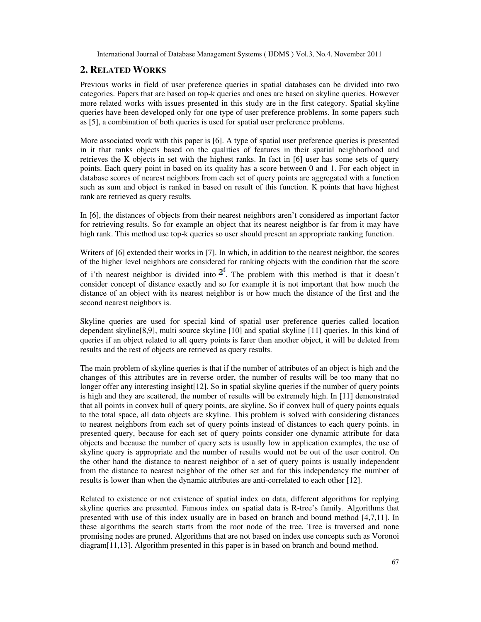## **2. RELATED WORKS**

Previous works in field of user preference queries in spatial databases can be divided into two categories. Papers that are based on top-k queries and ones are based on skyline queries. However more related works with issues presented in this study are in the first category. Spatial skyline queries have been developed only for one type of user preference problems. In some papers such as [5], a combination of both queries is used for spatial user preference problems.

More associated work with this paper is [6]. A type of spatial user preference queries is presented in it that ranks objects based on the qualities of features in their spatial neighborhood and retrieves the K objects in set with the highest ranks. In fact in [6] user has some sets of query points. Each query point in based on its quality has a score between 0 and 1. For each object in database scores of nearest neighbors from each set of query points are aggregated with a function such as sum and object is ranked in based on result of this function. K points that have highest rank are retrieved as query results.

In [6], the distances of objects from their nearest neighbors aren't considered as important factor for retrieving results. So for example an object that its nearest neighbor is far from it may have high rank. This method use top-k queries so user should present an appropriate ranking function.

Writers of [6] extended their works in [7]. In which, in addition to the nearest neighbor, the scores of the higher level neighbors are considered for ranking objects with the condition that the score of i'th nearest neighbor is divided into  $2^t$ . The problem with this method is that it doesn't consider concept of distance exactly and so for example it is not important that how much the distance of an object with its nearest neighbor is or how much the distance of the first and the second nearest neighbors is.

Skyline queries are used for special kind of spatial user preference queries called location dependent skyline[8,9], multi source skyline [10] and spatial skyline [11] queries. In this kind of queries if an object related to all query points is farer than another object, it will be deleted from results and the rest of objects are retrieved as query results.

The main problem of skyline queries is that if the number of attributes of an object is high and the changes of this attributes are in reverse order, the number of results will be too many that no longer offer any interesting insight [12]. So in spatial skyline queries if the number of query points is high and they are scattered, the number of results will be extremely high. In [11] demonstrated that all points in convex hull of query points, are skyline. So if convex hull of query points equals to the total space, all data objects are skyline. This problem is solved with considering distances to nearest neighbors from each set of query points instead of distances to each query points. in presented query, because for each set of query points consider one dynamic attribute for data objects and because the number of query sets is usually low in application examples, the use of skyline query is appropriate and the number of results would not be out of the user control. On the other hand the distance to nearest neighbor of a set of query points is usually independent from the distance to nearest neighbor of the other set and for this independency the number of results is lower than when the dynamic attributes are anti-correlated to each other [12].

Related to existence or not existence of spatial index on data, different algorithms for replying skyline queries are presented. Famous index on spatial data is R-tree's family. Algorithms that presented with use of this index usually are in based on branch and bound method [4,7,11]. In these algorithms the search starts from the root node of the tree. Tree is traversed and none promising nodes are pruned. Algorithms that are not based on index use concepts such as Voronoi diagram[11,13]. Algorithm presented in this paper is in based on branch and bound method.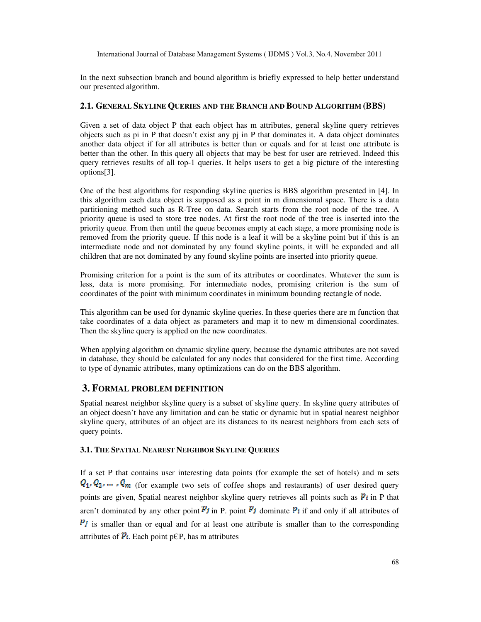In the next subsection branch and bound algorithm is briefly expressed to help better understand our presented algorithm.

#### **2.1. GENERAL SKYLINE QUERIES AND THE BRANCH AND BOUND ALGORITHM (BBS)**

Given a set of data object P that each object has m attributes, general skyline query retrieves objects such as pi in P that doesn't exist any pj in P that dominates it. A data object dominates another data object if for all attributes is better than or equals and for at least one attribute is better than the other. In this query all objects that may be best for user are retrieved. Indeed this query retrieves results of all top-1 queries. It helps users to get a big picture of the interesting options[3].

One of the best algorithms for responding skyline queries is BBS algorithm presented in [4]. In this algorithm each data object is supposed as a point in m dimensional space. There is a data partitioning method such as R-Tree on data. Search starts from the root node of the tree. A priority queue is used to store tree nodes. At first the root node of the tree is inserted into the priority queue. From then until the queue becomes empty at each stage, a more promising node is removed from the priority queue. If this node is a leaf it will be a skyline point but if this is an intermediate node and not dominated by any found skyline points, it will be expanded and all children that are not dominated by any found skyline points are inserted into priority queue.

Promising criterion for a point is the sum of its attributes or coordinates. Whatever the sum is less, data is more promising. For intermediate nodes, promising criterion is the sum of coordinates of the point with minimum coordinates in minimum bounding rectangle of node.

This algorithm can be used for dynamic skyline queries. In these queries there are m function that take coordinates of a data object as parameters and map it to new m dimensional coordinates. Then the skyline query is applied on the new coordinates.

When applying algorithm on dynamic skyline query, because the dynamic attributes are not saved in database, they should be calculated for any nodes that considered for the first time. According to type of dynamic attributes, many optimizations can do on the BBS algorithm.

## **3. FORMAL PROBLEM DEFINITION**

Spatial nearest neighbor skyline query is a subset of skyline query. In skyline query attributes of an object doesn't have any limitation and can be static or dynamic but in spatial nearest neighbor skyline query, attributes of an object are its distances to its nearest neighbors from each sets of query points.

#### **3.1. THE SPATIAL NEAREST NEIGHBOR SKYLINE QUERIES**

If a set P that contains user interesting data points (for example the set of hotels) and m sets  $Q_1, Q_2, \dots, Q_m$  (for example two sets of coffee shops and restaurants) of user desired query points are given, Spatial nearest neighbor skyline query retrieves all points such as  $\mathcal{P}_i$  in P that aren't dominated by any other point  $P_j$  in P. point  $P_j$  dominate  $P_i$  if and only if all attributes of  $\mathbf{p}_i$  is smaller than or equal and for at least one attribute is smaller than to the corresponding attributes of  $P_i$ . Each point pCP, has m attributes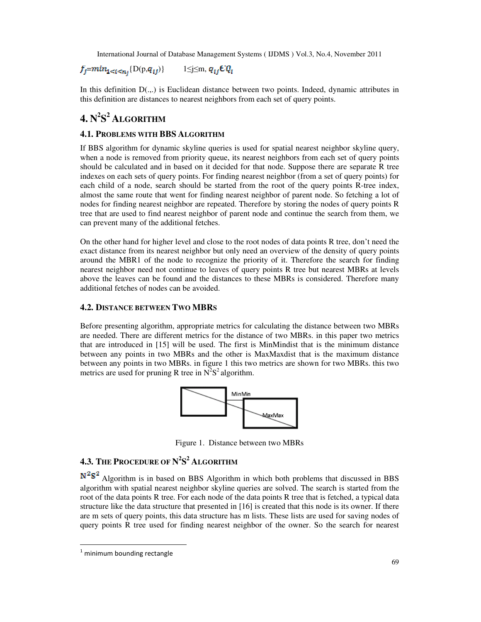$f_j = min_{1 \leq t \leq n_j} \{D(p, q_{ij})\}$  1 $\leq j \leq m, q_{ij} \in Q_t$ 

In this definition  $D(.,.)$  is Euclidean distance between two points. Indeed, dynamic attributes in this definition are distances to nearest neighbors from each set of query points.

## **4. N 2 S <sup>2</sup> ALGORITHM**

## **4.1. PROBLEMS WITH BBS ALGORITHM**

If BBS algorithm for dynamic skyline queries is used for spatial nearest neighbor skyline query, when a node is removed from priority queue, its nearest neighbors from each set of query points should be calculated and in based on it decided for that node. Suppose there are separate R tree indexes on each sets of query points. For finding nearest neighbor (from a set of query points) for each child of a node, search should be started from the root of the query points R-tree index, almost the same route that went for finding nearest neighbor of parent node. So fetching a lot of nodes for finding nearest neighbor are repeated. Therefore by storing the nodes of query points R tree that are used to find nearest neighbor of parent node and continue the search from them, we can prevent many of the additional fetches.

On the other hand for higher level and close to the root nodes of data points R tree, don't need the exact distance from its nearest neighbor but only need an overview of the density of query points around the MBR1 of the node to recognize the priority of it. Therefore the search for finding nearest neighbor need not continue to leaves of query points R tree but nearest MBRs at levels above the leaves can be found and the distances to these MBRs is considered. Therefore many additional fetches of nodes can be avoided.

## **4.2. DISTANCE BETWEEN TWO MBRS**

Before presenting algorithm, appropriate metrics for calculating the distance between two MBRs are needed. There are different metrics for the distance of two MBRs. in this paper two metrics that are introduced in [15] will be used. The first is MinMindist that is the minimum distance between any points in two MBRs and the other is MaxMaxdist that is the maximum distance between any points in two MBRs. in figure 1 this two metrics are shown for two MBRs. this two metrics are used for pruning R tree in  $N^2S^2$  algorithm.



Figure 1. Distance between two MBRs

## **4.3. THE PROCEDURE OF N 2 S <sup>2</sup> ALGORITHM**

 $N^2S^2$  Algorithm is in based on BBS Algorithm in which both problems that discussed in BBS algorithm with spatial nearest neighbor skyline queries are solved. The search is started from the root of the data points R tree. For each node of the data points R tree that is fetched, a typical data structure like the data structure that presented in [16] is created that this node is its owner. If there are m sets of query points, this data structure has m lists. These lists are used for saving nodes of query points R tree used for finding nearest neighbor of the owner. So the search for nearest

 $\ddot{\phantom{a}}$ 

 $<sup>1</sup>$  minimum bounding rectangle</sup>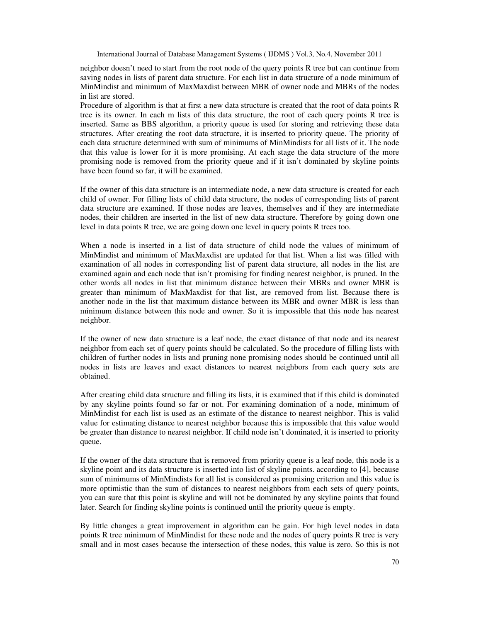neighbor doesn't need to start from the root node of the query points R tree but can continue from saving nodes in lists of parent data structure. For each list in data structure of a node minimum of MinMindist and minimum of MaxMaxdist between MBR of owner node and MBRs of the nodes in list are stored.

Procedure of algorithm is that at first a new data structure is created that the root of data points R tree is its owner. In each m lists of this data structure, the root of each query points R tree is inserted. Same as BBS algorithm, a priority queue is used for storing and retrieving these data structures. After creating the root data structure, it is inserted to priority queue. The priority of each data structure determined with sum of minimums of MinMindists for all lists of it. The node that this value is lower for it is more promising. At each stage the data structure of the more promising node is removed from the priority queue and if it isn't dominated by skyline points have been found so far, it will be examined.

If the owner of this data structure is an intermediate node, a new data structure is created for each child of owner. For filling lists of child data structure, the nodes of corresponding lists of parent data structure are examined. If those nodes are leaves, themselves and if they are intermediate nodes, their children are inserted in the list of new data structure. Therefore by going down one level in data points R tree, we are going down one level in query points R trees too.

When a node is inserted in a list of data structure of child node the values of minimum of MinMindist and minimum of MaxMaxdist are updated for that list. When a list was filled with examination of all nodes in corresponding list of parent data structure, all nodes in the list are examined again and each node that isn't promising for finding nearest neighbor, is pruned. In the other words all nodes in list that minimum distance between their MBRs and owner MBR is greater than minimum of MaxMaxdist for that list, are removed from list. Because there is another node in the list that maximum distance between its MBR and owner MBR is less than minimum distance between this node and owner. So it is impossible that this node has nearest neighbor.

If the owner of new data structure is a leaf node, the exact distance of that node and its nearest neighbor from each set of query points should be calculated. So the procedure of filling lists with children of further nodes in lists and pruning none promising nodes should be continued until all nodes in lists are leaves and exact distances to nearest neighbors from each query sets are obtained.

After creating child data structure and filling its lists, it is examined that if this child is dominated by any skyline points found so far or not. For examining domination of a node, minimum of MinMindist for each list is used as an estimate of the distance to nearest neighbor. This is valid value for estimating distance to nearest neighbor because this is impossible that this value would be greater than distance to nearest neighbor. If child node isn't dominated, it is inserted to priority queue.

If the owner of the data structure that is removed from priority queue is a leaf node, this node is a skyline point and its data structure is inserted into list of skyline points. according to [4], because sum of minimums of MinMindists for all list is considered as promising criterion and this value is more optimistic than the sum of distances to nearest neighbors from each sets of query points, you can sure that this point is skyline and will not be dominated by any skyline points that found later. Search for finding skyline points is continued until the priority queue is empty.

By little changes a great improvement in algorithm can be gain. For high level nodes in data points R tree minimum of MinMindist for these node and the nodes of query points R tree is very small and in most cases because the intersection of these nodes, this value is zero. So this is not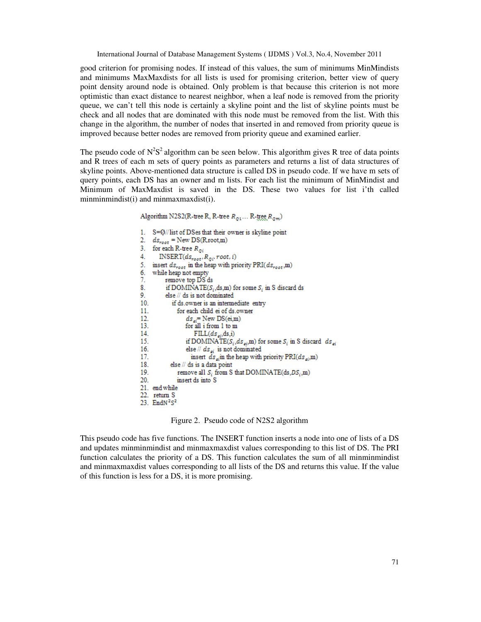good criterion for promising nodes. If instead of this values, the sum of minimums MinMindists and minimums MaxMaxdists for all lists is used for promising criterion, better view of query point density around node is obtained. Only problem is that because this criterion is not more optimistic than exact distance to nearest neighbor, when a leaf node is removed from the priority queue, we can't tell this node is certainly a skyline point and the list of skyline points must be check and all nodes that are dominated with this node must be removed from the list. With this change in the algorithm, the number of nodes that inserted in and removed from priority queue is improved because better nodes are removed from priority queue and examined earlier.

The pseudo code of  $N^2S^2$  algorithm can be seen below. This algorithm gives R tree of data points and R trees of each m sets of query points as parameters and returns a list of data structures of skyline points. Above-mentioned data structure is called DS in pseudo code. If we have m sets of query points, each DS has an owner and m lists. For each list the minimum of MinMindist and Minimum of MaxMaxdist is saved in the DS. These two values for list i'th called minminmindist(i) and minmaxmaxdist(i).

```
Algorithm N2S2(R-tree R, R-tree R_{01}... R-tree R_{0m})
```

```
S=Ø//list of DSes that their owner is skyline point
2.ds_{root} = New DS(R root,m)
3. for each R-tree R_{oi}4.
       INSERT(ds_{root}, R_{qi}, root, i)5. insert ds_{root} in the heap with priority PRI(ds_{root}, m)6. while heap not empty
7.
          remove top DS ds
          if DOMINATE(S_i, ds, m) for some S_i in S discard ds
\mathbf{R}9.
          else // ds is not dominated
10.
             if ds.owner is an intermediate entry
11.for each child ei of ds.owner
                   ds_{\alpha} = New DS(ei,m)
12<sup>12</sup>for all i from 1 to m
13.\text{FILL}(ds_{ei}, ds, i)14.
                   if DOMINATE(S_i, ds_{ei}, m) for some S_i in S discard ds_{ei}15.16
                   else //<br/> ds_{\rm ei} is not dominated
17.
                     insert ds_{ei} in the heap with priority PRI(ds_{ei},m)
18.
            else // ds is a data point
19.
               remove all S_i from S that DOMINATE(ds, DS_i, m)
20^{\circ}insert ds into S
21. end while
22. return S
23. EndN<sup>2</sup>S<sup>2</sup>
```
Figure 2. Pseudo code of N2S2 algorithm

This pseudo code has five functions. The INSERT function inserts a node into one of lists of a DS and updates minminmindist and minmaxmaxdist values corresponding to this list of DS. The PRI function calculates the priority of a DS. This function calculates the sum of all minminmindist and minmaxmaxdist values corresponding to all lists of the DS and returns this value. If the value of this function is less for a DS, it is more promising.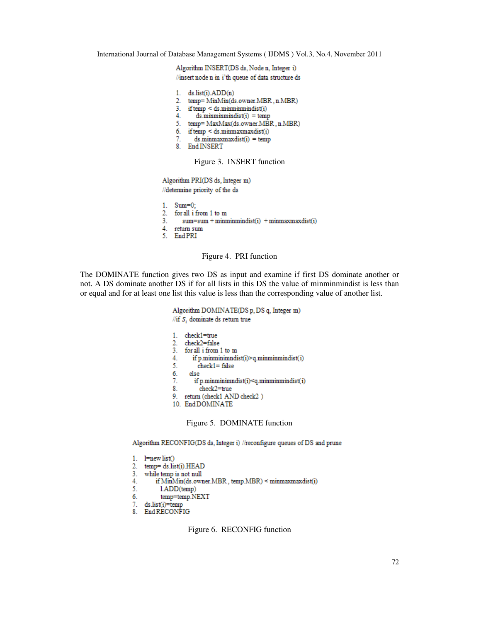Algorithm INSERT(DS ds, Node n, Integer i) //insert node n in i'th queue of data structure ds

| 1. | ds. list(i). ADD(n)                   |
|----|---------------------------------------|
| 2. | temp= MinMin(ds.owner.MBR, n.MBR)     |
|    | 3. if $temp < ds.mimminmidist(i)$     |
| 4. | $ds$ .minminmindist(i) = temp         |
| 5. | temp= MaxMax(ds.owner.MBR, n.MBR)     |
|    | 6. if $temp \leq ds.mimmaxmaxdist(i)$ |
| 7. | $ds$ .minmaxmaxdist(i) = temp         |
|    | 8. End INSERT                         |
|    |                                       |

#### Figure 3. INSERT function

Algorithm PRI(DS ds, Integer m) //determine priority of the ds

```
1. Sum=0:
2. for all i from 1 to m
3.1sum = sum + minimum indist(i) + minmaxmaxdist(i)\begin{tabular}{ll} 4. & return sum \\ 5. & End PRI \\ \end{tabular}
```
## Figure 4. PRI function

The DOMINATE function gives two DS as input and examine if first DS dominate another or not. A DS dominate another DS if for all lists in this DS the value of minminmindist is less than or equal and for at least one list this value is less than the corresponding value of another list.

```
Algorithm DOMINATE(DS p, DS q, Integer m)
//if S_i dominate ds return true
1. check1=true
2. check2=false
3. for all i from 1 to m
4.
     if p.minminimndist(i)>q.minminmindist(i)5.
        check1 = falseelse
6.
      if p.minminimndist(i)<q.minminmindist(i)
7.
8.check2=true
9. return (check1 AND check2)
10. End DOMINATE
```
Figure 5. DOMINATE function

Algorithm RECONFIG(DS ds, Integer i) //reconfigure queues of DS and prune

```
1. l=new list()
2. temp= ds.list(i).HEAD
3. while temp is not null
4.
       if MinMin(ds.owner.MBR, temp.MBR) < minmaxmaxdist(i)
5.
         l.ADD(temp)
6.
         temp=temp.NEXT
7. ds.list(i)=temp
8. End RECONFIG
```
Figure 6. RECONFIG function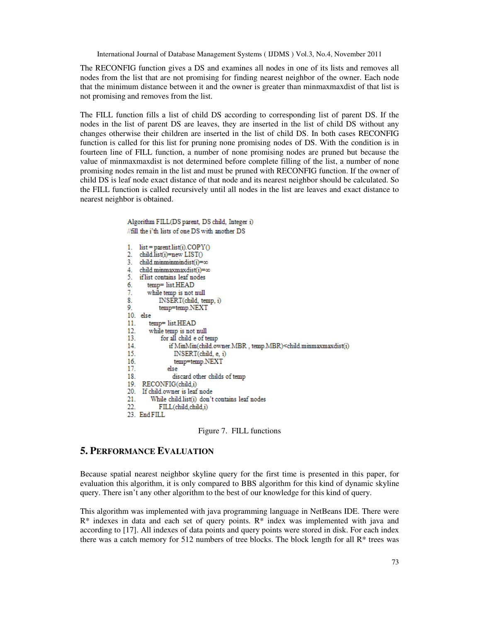The RECONFIG function gives a DS and examines all nodes in one of its lists and removes all nodes from the list that are not promising for finding nearest neighbor of the owner. Each node that the minimum distance between it and the owner is greater than minmaxmaxdist of that list is not promising and removes from the list.

The FILL function fills a list of child DS according to corresponding list of parent DS. If the nodes in the list of parent DS are leaves, they are inserted in the list of child DS without any changes otherwise their children are inserted in the list of child DS. In both cases RECONFIG function is called for this list for pruning none promising nodes of DS. With the condition is in fourteen line of FILL function, a number of none promising nodes are pruned but because the value of minmaxmaxdist is not determined before complete filling of the list, a number of none promising nodes remain in the list and must be pruned with RECONFIG function. If the owner of child DS is leaf node exact distance of that node and its nearest neighbor should be calculated. So the FILL function is called recursively until all nodes in the list are leaves and exact distance to nearest neighbor is obtained.

```
Algorithm FILL(DS parent, DS child, Integer i)
//fill the i'th lists of one DS with another DS
   list = parent_list(i).COPYO1.2.child.list(i)=new LIST()
3.child.minminmindist(i)=\infty4.
    child.minmaxmaxdist(i)=00
5.
    if list contains leaf nodes
6.
       temp= list.HEAD
7.
       while temp is not null
8.
           INSERT(child, temp, i)
9.
           temp=temp.NEXT
10. else
11.temp= list.HEAD
12<sup>12</sup>while temp is not null
13.
            for all child e of temp
14.
               if MinMin(child.owner.MBR, temp.MBR)<child.minmaxmaxdist(i)
15.
                 INSERT(child, e, i)
16
                 temp=temp.NEXT
17.
              else
                discard other childs of temp
18.
     RECONFIG(child,i)
19
20.
     If child.owner is leaf node
21.
        While child.list(i) don't contains leaf nodes
           FILL(child,child,i)
22.23. End FILL
```
Figure 7. FILL functions

## **5. PERFORMANCE EVALUATION**

Because spatial nearest neighbor skyline query for the first time is presented in this paper, for evaluation this algorithm, it is only compared to BBS algorithm for this kind of dynamic skyline query. There isn't any other algorithm to the best of our knowledge for this kind of query.

This algorithm was implemented with java programming language in NetBeans IDE. There were  $R^*$  indexes in data and each set of query points.  $R^*$  index was implemented with java and according to [17]. All indexes of data points and query points were stored in disk. For each index there was a catch memory for 512 numbers of tree blocks. The block length for all  $R^*$  trees was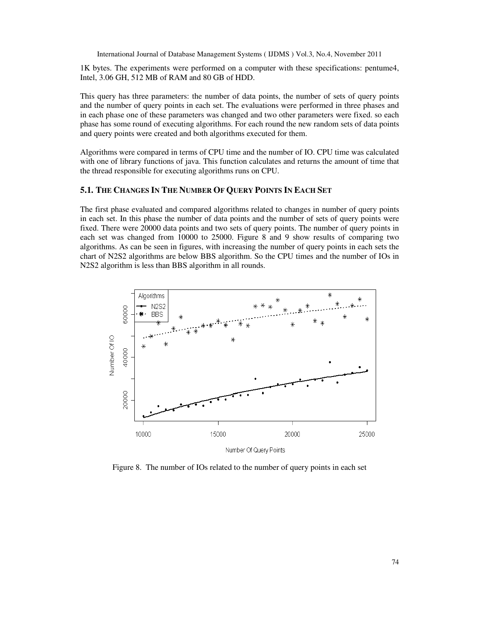1K bytes. The experiments were performed on a computer with these specifications: pentume4, Intel, 3.06 GH, 512 MB of RAM and 80 GB of HDD.

This query has three parameters: the number of data points, the number of sets of query points and the number of query points in each set. The evaluations were performed in three phases and in each phase one of these parameters was changed and two other parameters were fixed. so each phase has some round of executing algorithms. For each round the new random sets of data points and query points were created and both algorithms executed for them.

Algorithms were compared in terms of CPU time and the number of IO. CPU time was calculated with one of library functions of java. This function calculates and returns the amount of time that the thread responsible for executing algorithms runs on CPU.

#### **5.1. THE CHANGES IN THE NUMBER OF QUERY POINTS IN EACH SET**

The first phase evaluated and compared algorithms related to changes in number of query points in each set. In this phase the number of data points and the number of sets of query points were fixed. There were 20000 data points and two sets of query points. The number of query points in each set was changed from 10000 to 25000. Figure 8 and 9 show results of comparing two algorithms. As can be seen in figures, with increasing the number of query points in each sets the chart of N2S2 algorithms are below BBS algorithm. So the CPU times and the number of IOs in N2S2 algorithm is less than BBS algorithm in all rounds.



Figure 8. The number of IOs related to the number of query points in each set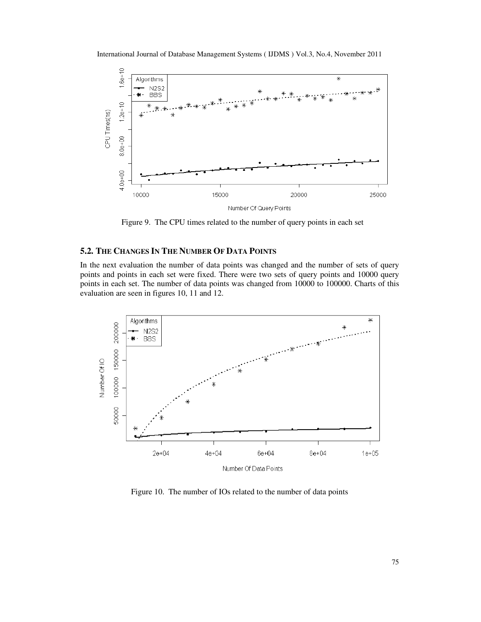International Journal of Database Management Systems ( IJDMS ) Vol.3, No.4, November 2011



Figure 9. The CPU times related to the number of query points in each set

## **5.2. THE CHANGES IN THE NUMBER OF DATA POINTS**

In the next evaluation the number of data points was changed and the number of sets of query points and points in each set were fixed. There were two sets of query points and 10000 query points in each set. The number of data points was changed from 10000 to 100000. Charts of this evaluation are seen in figures 10, 11 and 12.



Figure 10. The number of IOs related to the number of data points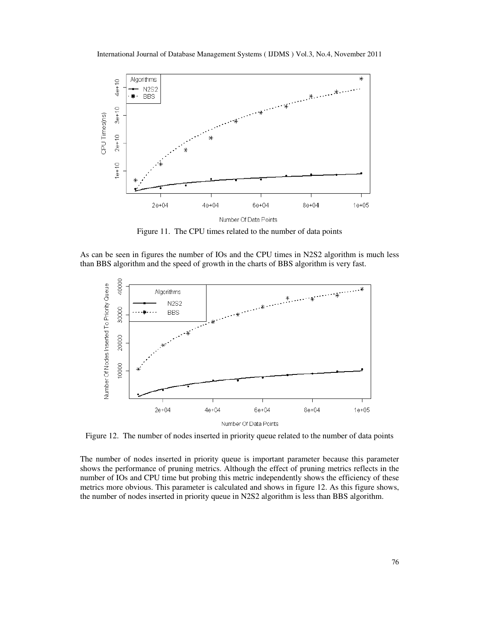

Figure 11. The CPU times related to the number of data points

As can be seen in figures the number of IOs and the CPU times in N2S2 algorithm is much less than BBS algorithm and the speed of growth in the charts of BBS algorithm is very fast.



Figure 12. The number of nodes inserted in priority queue related to the number of data points

The number of nodes inserted in priority queue is important parameter because this parameter shows the performance of pruning metrics. Although the effect of pruning metrics reflects in the number of IOs and CPU time but probing this metric independently shows the efficiency of these metrics more obvious. This parameter is calculated and shows in figure 12. As this figure shows, the number of nodes inserted in priority queue in N2S2 algorithm is less than BBS algorithm.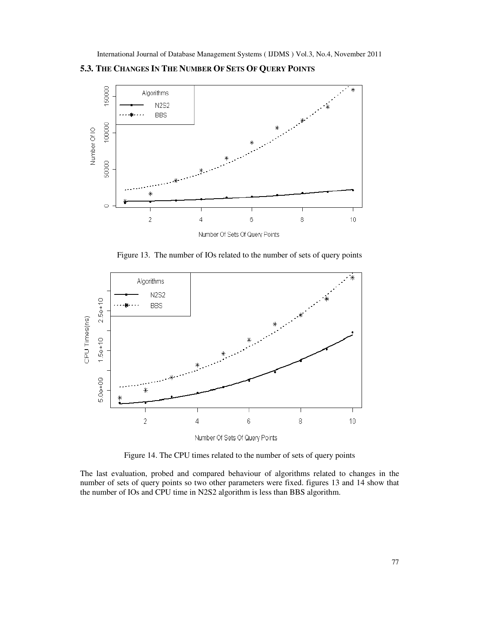150000 Algorithms **N2S2 BBS** 100000 Number Of IO 50000 ₹  $\circ$  $\sqrt{2}$  $\,$  6  $\,$  $\,8\,$  $\overline{\mathcal{L}}$  $10$ Number Of Sets Of Query Points

**5.3. THE CHANGES IN THE NUMBER OF SETS OF QUERY POINTS**





Figure 14. The CPU times related to the number of sets of query points

The last evaluation, probed and compared behaviour of algorithms related to changes in the number of sets of query points so two other parameters were fixed. figures 13 and 14 show that the number of IOs and CPU time in N2S2 algorithm is less than BBS algorithm.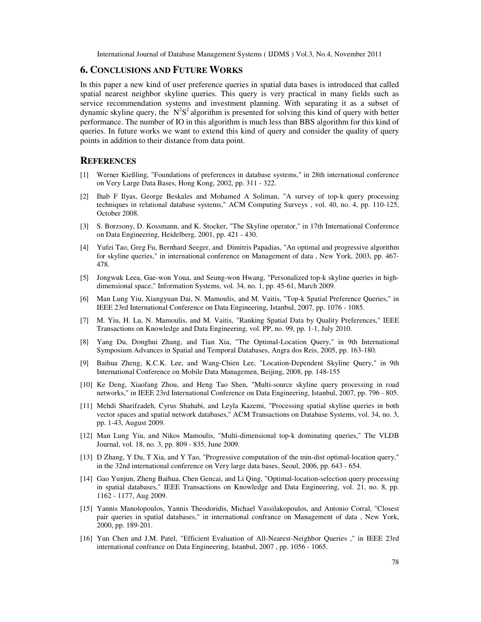## **6. CONCLUSIONS AND FUTURE WORKS**

In this paper a new kind of user preference queries in spatial data bases is introduced that called spatial nearest neighbor skyline queries. This query is very practical in many fields such as service recommendation systems and investment planning. With separating it as a subset of dynamic skyline query, the  $N^2S^2$  algorithm is presented for solving this kind of query with better performance. The number of IO in this algorithm is much less than BBS algorithm for this kind of queries. In future works we want to extend this kind of query and consider the quality of query points in addition to their distance from data point.

### **REFERENCES**

- [1] Werner Kießling, "Foundations of preferences in database systems," in 28th international conference on Very Large Data Bases, Hong Kong, 2002, pp. 311 - 322.
- [2] Ihab F Ilyas, George Beskales and Mohamed A Soliman, "A survey of top-k query processing techniques in relational database systems," ACM Computing Surveys , vol. 40, no. 4, pp. 110-125, October 2008.
- [3] S. Borzsony, D. Kossmann, and K. Stocker, "The Skyline operator," in 17th International Conference on Data Engineering, Heidelberg, 2001, pp. 421 - 430.
- [4] Yufei Tao, Greg Fu, Bernhard Seeger, and Dimitris Papadias, "An optimal and progressive algorithm for skyline queries," in international conference on Management of data , New York, 2003, pp. 467- 478.
- [5] Jongwuk Leea, Gae-won Youa, and Seung-won Hwang, "Personalized top-k skyline queries in highdimensional space," Information Systems, vol. 34, no. 1, pp. 45-61, March 2009.
- [6] Man Lung Yiu, Xiangyuan Dai, N. Mamoulis, and M. Vaitis, "Top-k Spatial Preference Queries," in IEEE 23rd International Conference on Data Engineering, Istanbul, 2007, pp. 1076 - 1085.
- [7] M. Yiu, H. Lu, N. Mamoulis, and M. Vaitis, "Ranking Spatial Data by Quality Preferences," IEEE Transactions on Knowledge and Data Engineering, vol. PP, no. 99, pp. 1-1, July 2010.
- [8] Yang Du, Donghui Zhang, and Tian Xia, "The Optimal-Location Query," in 9th International Symposium Advances in Spatial and Temporal Databases, Angra dos Reis, 2005, pp. 163-180.
- [9] Baihua Zheng, K.C.K. Lee, and Wang-Chien Lee, "Location-Dependent Skyline Query," in 9th International Conference on Mobile Data Managemen, Beijing, 2008, pp. 148-155
- [10] Ke Deng, Xiaofang Zhou, and Heng Tao Shen, "Multi-source skyline query processing in road networks," in IEEE 23rd International Conference on Data Engineering, Istanbul, 2007, pp. 796 - 805.
- [11] Mehdi Sharifzadeh, Cyrus Shahabi, and Leyla Kazemi, "Processing spatial skyline queries in both vector spaces and spatial network databases," ACM Transactions on Database Systems, vol. 34, no. 3, pp. 1-43, August 2009.
- [12] Man Lung Yiu, and Nikos Mamoulis, "Multi-dimensional top-k dominating queries," The VLDB Journal, vol. 18, no. 3, pp. 809 - 835, June 2009.
- [13] D Zhang, Y Du, T Xia, and Y Tao, "Progressive computation of the min-dist optimal-location query," in the 32nd international conference on Very large data bases, Seoul, 2006, pp. 643 - 654.
- [14] Gao Yunjun, Zheng Baihua, Chen Gencai, and Li Qing, "Optimal-location-selection query processing in spatial databases," IEEE Transactions on Knowledge and Data Engineering, vol. 21, no. 8, pp. 1162 - 1177, Aug 2009.
- [15] Yannis Manolopoulos, Yannis Theodoridis, Michael Vassilakopoulos, and Antonio Corral, "Closest pair queries in spatial databases," in international confrance on Management of data , New York, 2000, pp. 189-201.
- [16] Yun Chen and J.M. Patel, "Efficient Evaluation of All-Nearest-Neighbor Queries ," in IEEE 23rd international confrance on Data Engineering, Istanbul, 2007 , pp. 1056 - 1065.